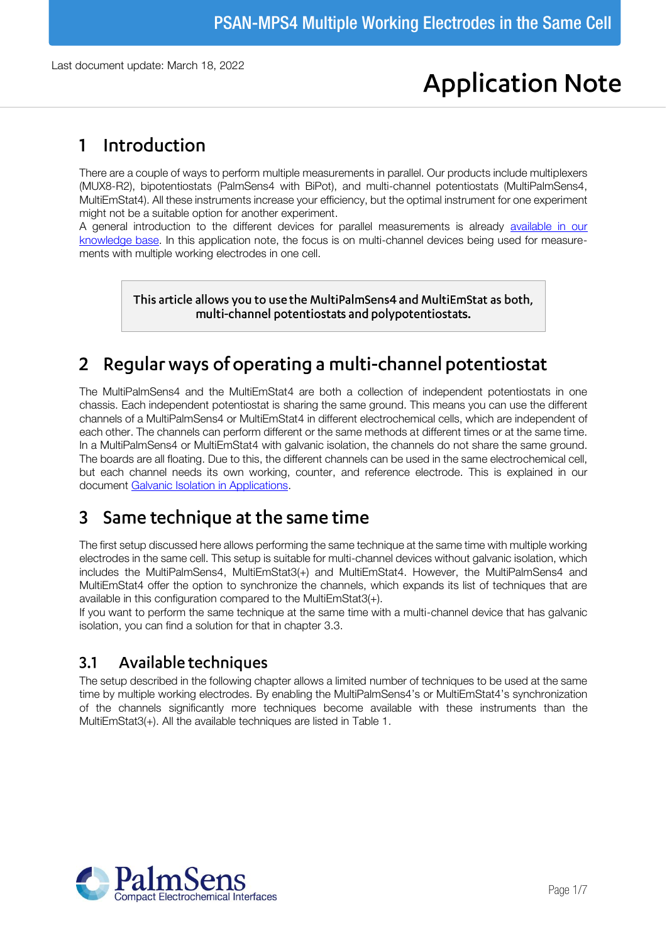# **Application Note**

# Introduction  $\mathbf 1$

There are a couple of ways to perform multiple measurements in parallel. Our products include multiplexers (MUX8-R2), bipotentiostats (PalmSens4 with BiPot), and multi-channel potentiostats (MultiPalmSens4, MultiEmStat4). All these instruments increase your efficiency, but the optimal instrument for one experiment might not be a suitable option for another experiment.

A general introduction to the different devices for parallel measurements is already available in our [knowledge base.](https://www.palmsens.com/knowledgebase-article/multichannel-polypotentiostat-or-multiplexer/) In this application note, the focus is on multi-channel devices being used for measurements with multiple working electrodes in one cell.

> This article allows you to use the MultiPalmSens4 and MultiEmStat as both, multi-channel potentiostats and polypotentiostats.

# Regular ways of operating a multi-channel potentiostat  $\overline{2}$

The MultiPalmSens4 and the MultiEmStat4 are both a collection of independent potentiostats in one chassis. Each independent potentiostat is sharing the same ground. This means you can use the different channels of a MultiPalmSens4 or MultiEmStat4 in different electrochemical cells, which are independent of each other. The channels can perform different or the same methods at different times or at the same time. In a MultiPalmSens4 or MultiEmStat4 with galvanic isolation, the channels do not share the same ground. The boards are all floating. Due to this, the different channels can be used in the same electrochemical cell, but each channel needs its own working, counter, and reference electrode. This is explained in our document [Galvanic Isolation in Applications.](https://www.palmsens.com/wp-content/uploads/2019/04/PSAN0402-Galvanic_Isolation_in_Applications.pdf)

# Same technique at the same time 3

The first setup discussed here allows performing the same technique at the same time with multiple working electrodes in the same cell. This setup is suitable for multi-channel devices without galvanic isolation, which includes the MultiPalmSens4, MultiEmStat3(+) and MultiEmStat4. However, the MultiPalmSens4 and MultiEmStat4 offer the option to synchronize the channels, which expands its list of techniques that are available in this configuration compared to the MultiEmStat3(+).

If you want to perform the same technique at the same time with a multi-channel device that has galvanic isolation, you can find a solution for that in chapter [3.3.](#page-3-0)

#### $3.1$ Available techniques

The setup described in the following chapter allows a limited number of techniques to be used at the same time by multiple working electrodes. By enabling the MultiPalmSens4's or MultiEmStat4's synchronization of the channels significantly more techniques become available with these instruments than the MultiEmStat3(+). All the available techniques are listed in [Table 1.](#page-1-0)

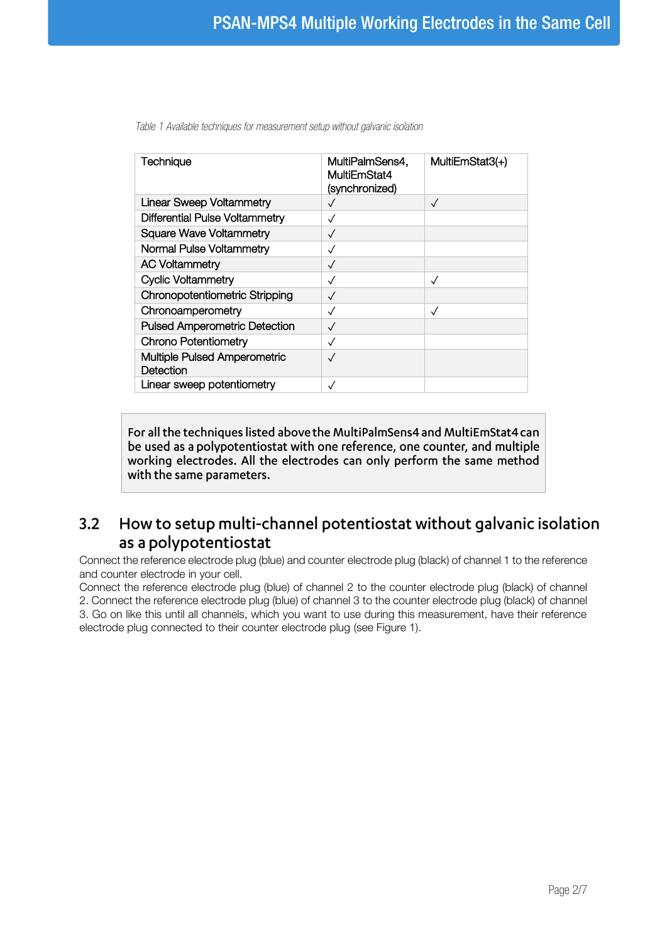<span id="page-1-0"></span>

| Technique                                        | MultiPalmSens4,<br>MultiEmStat4<br>(synchronized) | MultiEmStat3(+) |
|--------------------------------------------------|---------------------------------------------------|-----------------|
| <b>Linear Sweep Voltammetry</b>                  |                                                   | $\sqrt{}$       |
| Differential Pulse Voltammetry                   | $\checkmark$                                      |                 |
| <b>Square Wave Voltammetry</b>                   | $\checkmark$                                      |                 |
| Normal Pulse Voltammetry                         | $\checkmark$                                      |                 |
| <b>AC Voltammetry</b>                            | $\checkmark$                                      |                 |
| <b>Cyclic Voltammetry</b>                        | $\checkmark$                                      | $\sqrt{}$       |
| <b>Chronopotentiometric Stripping</b>            | $\checkmark$                                      |                 |
| Chronoamperometry                                | $\checkmark$                                      | $\checkmark$    |
| <b>Pulsed Amperometric Detection</b>             | $\checkmark$                                      |                 |
| <b>Chrono Potentiometry</b>                      | $\sqrt{}$                                         |                 |
| <b>Multiple Pulsed Amperometric</b><br>Detection |                                                   |                 |
| Linear sweep potentiometry                       | ✓                                                 |                 |

For all the techniques listed above the MultiPalmSens4 and MultiEmStat4 can be used as a polypotentiostat with one reference, one counter, and multiple working electrodes. All the electrodes can only perform the same method with the same parameters.

# <span id="page-1-1"></span>How to setup multi-channel potentiostat without galvanic isolation  $3.2$ as a polypotentiostat

Connect the reference electrode plug (blue) and counter electrode plug (black) of channel 1 to the reference and counter electrode in your cell.

Connect the reference electrode plug (blue) of channel 2 to the counter electrode plug (black) of channel 2. Connect the reference electrode plug (blue) of channel 3 to the counter electrode plug (black) of channel 3. Go on like this until all channels, which you want to use during this measurement, have their reference electrode plug connected to their counter electrode plug (see [Figure 1\)](#page-2-0).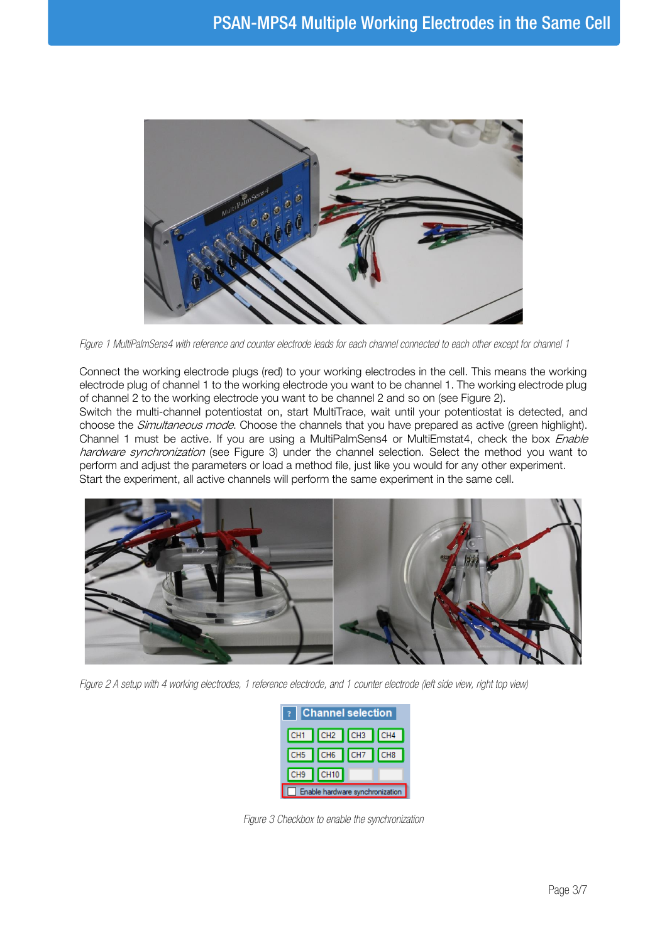

*Figure 1 MultiPalmSens4 with reference and counter electrode leads for each channel connected to each other except for channel 1*

<span id="page-2-0"></span>Connect the working electrode plugs (red) to your working electrodes in the cell. This means the working electrode plug of channel 1 to the working electrode you want to be channel 1. The working electrode plug of channel 2 to the working electrode you want to be channel 2 and so on (see [Figure 2\).](#page-2-1) Switch the multi-channel potentiostat on, start MultiTrace, wait until your potentiostat is detected, and

choose the *Simultaneous mode*. Choose the channels that you have prepared as active (green highlight). Channel 1 must be active. If you are using a MultiPalmSens4 or MultiEmstat4, check the box Enable hardware synchronization (see [Figure 3\)](#page-2-2) under the channel selection. Select the method you want to perform and adjust the parameters or load a method file, just like you would for any other experiment. Start the experiment, all active channels will perform the same experiment in the same cell.

<span id="page-2-1"></span>

*Figure 2 A setup with 4 working electrodes, 1 reference electrode, and 1 counter electrode (left side view, right top view)*

| ? Channel selection             |                 |  |  |
|---------------------------------|-----------------|--|--|
|                                 | CH1 CH2 CH3 CH4 |  |  |
|                                 | CH5 CH6 CH7 CH8 |  |  |
| CH <sub>9</sub>                 | CH10            |  |  |
| Enable hardware synchronization |                 |  |  |

<span id="page-2-2"></span>*Figure 3 Checkbox to enable the synchronization*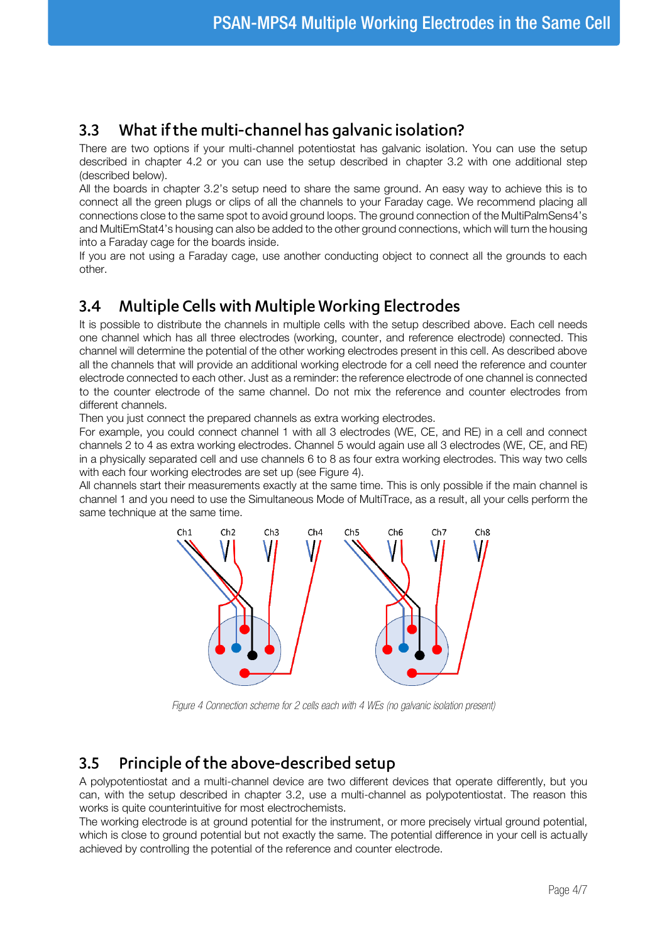## <span id="page-3-0"></span> $3.3$ What if the multi-channel has galvanic isolation?

There are two options if your multi-channel potentiostat has galvanic isolation. You can use the setup described in chapter [4.2](#page-5-0) or you can use the setup described in chapter [3.2](#page-1-1) with one additional step (described below).

All the boards in chapter [3.2](#page-1-1)'s setup need to share the same ground. An easy way to achieve this is to connect all the green plugs or clips of all the channels to your Faraday cage. We recommend placing all connections close to the same spot to avoid ground loops. The ground connection of the MultiPalmSens4's and MultiEmStat4's housing can also be added to the other ground connections, which will turn the housing into a Faraday cage for the boards inside.

If you are not using a Faraday cage, use another conducting object to connect all the grounds to each other.

#### **Multiple Cells with Multiple Working Electrodes**  $3.4$

It is possible to distribute the channels in multiple cells with the setup described above. Each cell needs one channel which has all three electrodes (working, counter, and reference electrode) connected. This channel will determine the potential of the other working electrodes present in this cell. As described above all the channels that will provide an additional working electrode for a cell need the reference and counter electrode connected to each other. Just as a reminder: the reference electrode of one channel is connected to the counter electrode of the same channel. Do not mix the reference and counter electrodes from different channels.

Then you just connect the prepared channels as extra working electrodes.

For example, you could connect channel 1 with all 3 electrodes (WE, CE, and RE) in a cell and connect channels 2 to 4 as extra working electrodes. Channel 5 would again use all 3 electrodes (WE, CE, and RE) in a physically separated cell and use channels 6 to 8 as four extra working electrodes. This way two cells with each four working electrodes are set up (see [Figure 4\)](#page-3-1).

All channels start their measurements exactly at the same time. This is only possible if the main channel is channel 1 and you need to use the Simultaneous Mode of MultiTrace, as a result, all your cells perform the same technique at the same time.



*Figure 4 Connection scheme for 2 cells each with 4 WEs (no galvanic isolation present)*

#### <span id="page-3-1"></span>Principle of the above-described setup  $3.5$

A polypotentiostat and a multi-channel device are two different devices that operate differently, but you can, with the setup described in chapter [3.2,](#page-1-1) use a multi-channel as polypotentiostat. The reason this works is quite counterintuitive for most electrochemists.

The working electrode is at ground potential for the instrument, or more precisely virtual ground potential, which is close to ground potential but not exactly the same. The potential difference in your cell is actually achieved by controlling the potential of the reference and counter electrode.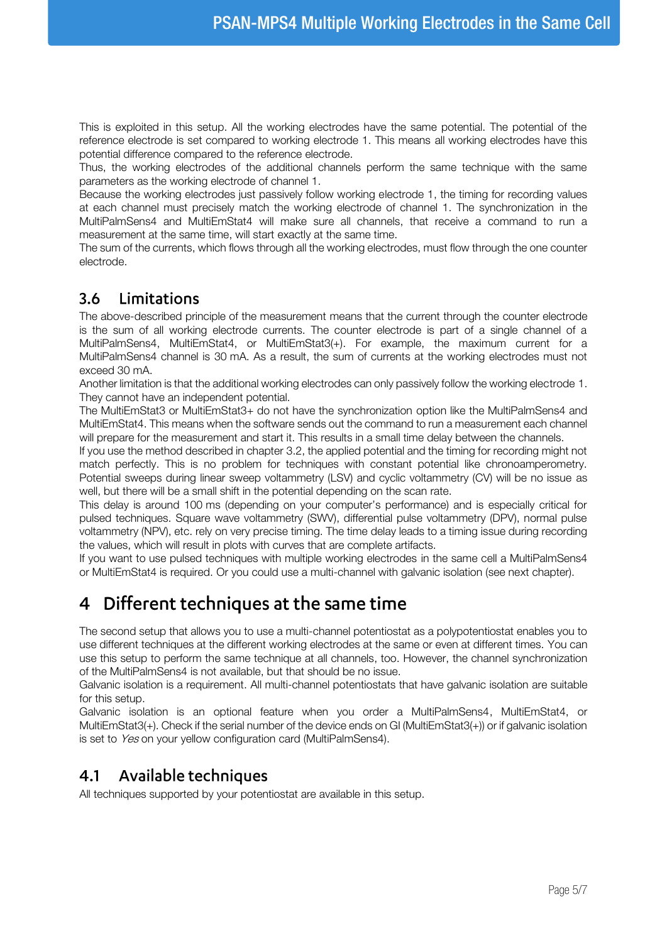This is exploited in this setup. All the working electrodes have the same potential. The potential of the reference electrode is set compared to working electrode 1. This means all working electrodes have this potential difference compared to the reference electrode.

Thus, the working electrodes of the additional channels perform the same technique with the same parameters as the working electrode of channel 1.

Because the working electrodes just passively follow working electrode 1, the timing for recording values at each channel must precisely match the working electrode of channel 1. The synchronization in the MultiPalmSens4 and MultiEmStat4 will make sure all channels, that receive a command to run a measurement at the same time, will start exactly at the same time.

The sum of the currents, which flows through all the working electrodes, must flow through the one counter electrode.

#### $3.6$ Limitations

The above-described principle of the measurement means that the current through the counter electrode is the sum of all working electrode currents. The counter electrode is part of a single channel of a MultiPalmSens4, MultiEmStat4, or MultiEmStat3(+). For example, the maximum current for a MultiPalmSens4 channel is 30 mA. As a result, the sum of currents at the working electrodes must not exceed 30 mA.

Another limitation is that the additional working electrodes can only passively follow the working electrode 1. They cannot have an independent potential.

The MultiEmStat3 or MultiEmStat3+ do not have the synchronization option like the MultiPalmSens4 and MultiEmStat4. This means when the software sends out the command to run a measurement each channel will prepare for the measurement and start it. This results in a small time delay between the channels.

If you use the method described in chapte[r 3.2,](#page-1-1) the applied potential and the timing for recording might not match perfectly. This is no problem for techniques with constant potential like chronoamperometry. Potential sweeps during linear sweep voltammetry (LSV) and cyclic voltammetry (CV) will be no issue as well, but there will be a small shift in the potential depending on the scan rate.

This delay is around 100 ms (depending on your computer's performance) and is especially critical for pulsed techniques. Square wave voltammetry (SWV), differential pulse voltammetry (DPV), normal pulse voltammetry (NPV), etc. rely on very precise timing. The time delay leads to a timing issue during recording the values, which will result in plots with curves that are complete artifacts.

If you want to use pulsed techniques with multiple working electrodes in the same cell a MultiPalmSens4 or MultiEmStat4 is required. Or you could use a multi-channel with galvanic isolation (see next chapter).

# Different techniques at the same time  $\overline{4}$

The second setup that allows you to use a multi-channel potentiostat as a polypotentiostat enables you to use different techniques at the different working electrodes at the same or even at different times. You can use this setup to perform the same technique at all channels, too. However, the channel synchronization of the MultiPalmSens4 is not available, but that should be no issue.

Galvanic isolation is a requirement. All multi-channel potentiostats that have galvanic isolation are suitable for this setup.

Galvanic isolation is an optional feature when you order a MultiPalmSens4, MultiEmStat4, or MultiEmStat3(+). Check if the serial number of the device ends on GI (MultiEmStat3(+)) or if galvanic isolation is set to Yes on your yellow configuration card (MultiPalmSens4).

#### Available techniques  $4.1$

All techniques supported by your potentiostat are available in this setup.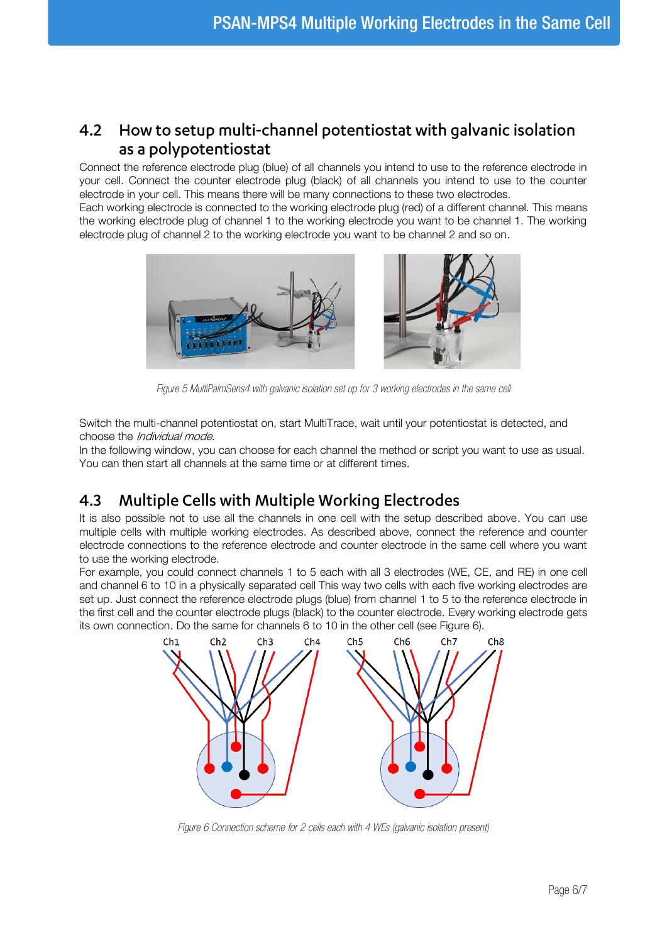# <span id="page-5-0"></span>How to setup multi-channel potentiostat with galvanic isolation  $4.2$ as a polypotentiostat

Connect the reference electrode plug (blue) of all channels you intend to use to the reference electrode in your cell. Connect the counter electrode plug (black) of all channels you intend to use to the counter electrode in your cell. This means there will be many connections to these two electrodes.

Each working electrode is connected to the working electrode plug (red) of a different channel. This means the working electrode plug of channel 1 to the working electrode you want to be channel 1. The working electrode plug of channel 2 to the working electrode you want to be channel 2 and so on.



*Figure 5 MultiPalmSens4 with galvanic isolation set up for 3 working electrodes in the same cell*

Switch the multi-channel potentiostat on, start MultiTrace, wait until your potentiostat is detected, and choose the Individual mode.

In the following window, you can choose for each channel the method or script you want to use as usual. You can then start all channels at the same time or at different times.

# 4.3 **Multiple Cells with Multiple Working Electrodes**

It is also possible not to use all the channels in one cell with the setup described above. You can use multiple cells with multiple working electrodes. As described above, connect the reference and counter electrode connections to the reference electrode and counter electrode in the same cell where you want to use the working electrode.

For example, you could connect channels 1 to 5 each with all 3 electrodes (WE, CE, and RE) in one cell and channel 6 to 10 in a physically separated cell This way two cells with each five working electrodes are set up. Just connect the reference electrode plugs (blue) from channel 1 to 5 to the reference electrode in the first cell and the counter electrode plugs (black) to the counter electrode. Every working electrode gets its own connection. Do the same for channels 6 to 10 in the other cell (see [Figure 6\).](#page-5-1)



<span id="page-5-1"></span>*Figure 6 Connection scheme for 2 cells each with 4 WEs (galvanic isolation present)*